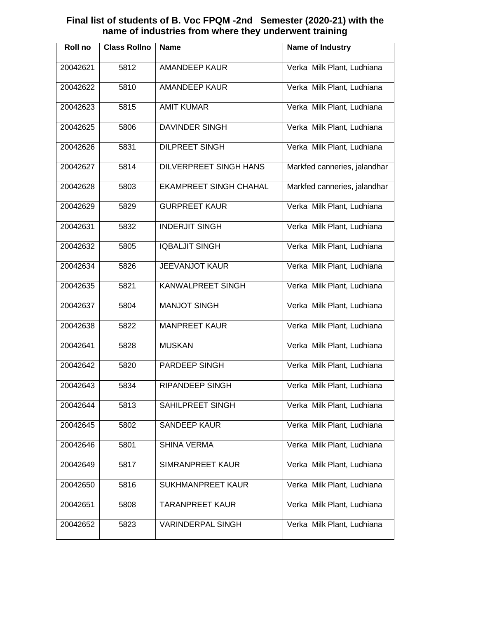### **Final list of students of B. Voc FPQM -2nd Semester (2020-21) with the name of industries from where they underwent training**

| <b>Roll</b> no | <b>Class Rollno</b> | <b>Name</b>                   | <b>Name of Industry</b>      |
|----------------|---------------------|-------------------------------|------------------------------|
| 20042621       | 5812                | <b>AMANDEEP KAUR</b>          | Verka Milk Plant, Ludhiana   |
| 20042622       | 5810                | <b>AMANDEEP KAUR</b>          | Verka Milk Plant, Ludhiana   |
| 20042623       | 5815                | <b>AMIT KUMAR</b>             | Verka Milk Plant, Ludhiana   |
| 20042625       | 5806                | <b>DAVINDER SINGH</b>         | Verka Milk Plant, Ludhiana   |
| 20042626       | 5831                | <b>DILPREET SINGH</b>         | Verka Milk Plant, Ludhiana   |
| 20042627       | 5814                | <b>DILVERPREET SINGH HANS</b> | Markfed canneries, jalandhar |
| 20042628       | 5803                | <b>EKAMPREET SINGH CHAHAL</b> | Markfed canneries, jalandhar |
| 20042629       | 5829                | <b>GURPREET KAUR</b>          | Verka Milk Plant, Ludhiana   |
| 20042631       | 5832                | <b>INDERJIT SINGH</b>         | Verka Milk Plant, Ludhiana   |
| 20042632       | 5805                | <b>IQBALJIT SINGH</b>         | Verka Milk Plant, Ludhiana   |
| 20042634       | 5826                | <b>JEEVANJOT KAUR</b>         | Verka Milk Plant, Ludhiana   |
| 20042635       | 5821                | KANWALPREET SINGH             | Verka Milk Plant, Ludhiana   |
| 20042637       | 5804                | <b>MANJOT SINGH</b>           | Verka Milk Plant, Ludhiana   |
| 20042638       | 5822                | <b>MANPREET KAUR</b>          | Verka Milk Plant, Ludhiana   |
| 20042641       | 5828                | <b>MUSKAN</b>                 | Verka Milk Plant, Ludhiana   |
| 20042642       | 5820                | PARDEEP SINGH                 | Verka Milk Plant, Ludhiana   |
| 20042643       | 5834                | <b>RIPANDEEP SINGH</b>        | Verka Milk Plant, Ludhiana   |
| 20042644       | 5813                | SAHILPREET SINGH              | Verka Milk Plant, Ludhiana   |
| 20042645       | 5802                | <b>SANDEEP KAUR</b>           | Verka Milk Plant, Ludhiana   |
| 20042646       | 5801                | <b>SHINA VERMA</b>            | Verka Milk Plant, Ludhiana   |
| 20042649       | 5817                | SIMRANPREET KAUR              | Verka Milk Plant, Ludhiana   |
| 20042650       | 5816                | <b>SUKHMANPREET KAUR</b>      | Verka Milk Plant, Ludhiana   |
| 20042651       | 5808                | <b>TARANPREET KAUR</b>        | Verka Milk Plant, Ludhiana   |
| 20042652       | 5823                | <b>VARINDERPAL SINGH</b>      | Verka Milk Plant, Ludhiana   |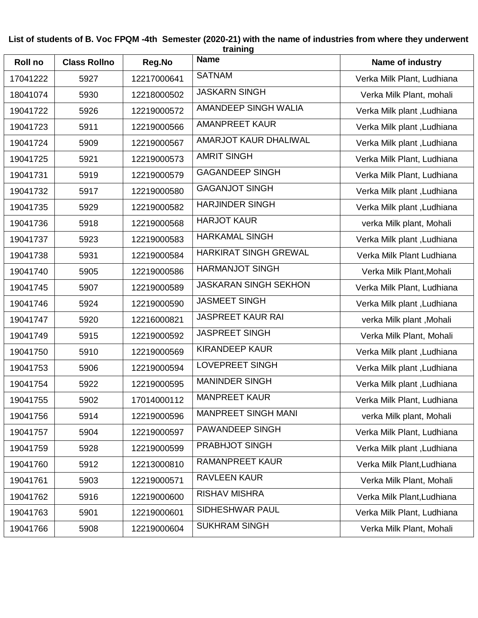#### **List of students of B. Voc FPQM -4th Semester (2020-21) with the name of industries from where they underwent training**

| <b>Roll no</b> | <b>Class Rollno</b> | Reg.No      | <b>Name</b>                  | Name of industry           |
|----------------|---------------------|-------------|------------------------------|----------------------------|
| 17041222       | 5927                | 12217000641 | <b>SATNAM</b>                | Verka Milk Plant, Ludhiana |
| 18041074       | 5930                | 12218000502 | <b>JASKARN SINGH</b>         | Verka Milk Plant, mohali   |
| 19041722       | 5926                | 12219000572 | <b>AMANDEEP SINGH WALIA</b>  | Verka Milk plant, Ludhiana |
| 19041723       | 5911                | 12219000566 | <b>AMANPREET KAUR</b>        | Verka Milk plant, Ludhiana |
| 19041724       | 5909                | 12219000567 | AMARJOT KAUR DHALIWAL        | Verka Milk plant, Ludhiana |
| 19041725       | 5921                | 12219000573 | <b>AMRIT SINGH</b>           | Verka Milk Plant, Ludhiana |
| 19041731       | 5919                | 12219000579 | <b>GAGANDEEP SINGH</b>       | Verka Milk Plant, Ludhiana |
| 19041732       | 5917                | 12219000580 | <b>GAGANJOT SINGH</b>        | Verka Milk plant, Ludhiana |
| 19041735       | 5929                | 12219000582 | <b>HARJINDER SINGH</b>       | Verka Milk plant, Ludhiana |
| 19041736       | 5918                | 12219000568 | <b>HARJOT KAUR</b>           | verka Milk plant, Mohali   |
| 19041737       | 5923                | 12219000583 | <b>HARKAMAL SINGH</b>        | Verka Milk plant, Ludhiana |
| 19041738       | 5931                | 12219000584 | <b>HARKIRAT SINGH GREWAL</b> | Verka Milk Plant Ludhiana  |
| 19041740       | 5905                | 12219000586 | <b>HARMANJOT SINGH</b>       | Verka Milk Plant, Mohali   |
| 19041745       | 5907                | 12219000589 | <b>JASKARAN SINGH SEKHON</b> | Verka Milk Plant, Ludhiana |
| 19041746       | 5924                | 12219000590 | <b>JASMEET SINGH</b>         | Verka Milk plant, Ludhiana |
| 19041747       | 5920                | 12216000821 | <b>JASPREET KAUR RAI</b>     | verka Milk plant, Mohali   |
| 19041749       | 5915                | 12219000592 | <b>JASPREET SINGH</b>        | Verka Milk Plant, Mohali   |
| 19041750       | 5910                | 12219000569 | <b>KIRANDEEP KAUR</b>        | Verka Milk plant, Ludhiana |
| 19041753       | 5906                | 12219000594 | <b>LOVEPREET SINGH</b>       | Verka Milk plant, Ludhiana |
| 19041754       | 5922                | 12219000595 | <b>MANINDER SINGH</b>        | Verka Milk plant, Ludhiana |
| 19041755       | 5902                | 17014000112 | <b>MANPREET KAUR</b>         | Verka Milk Plant, Ludhiana |
| 19041756       | 5914                | 12219000596 | <b>MANPREET SINGH MANI</b>   | verka Milk plant, Mohali   |
| 19041757       | 5904                | 12219000597 | PAWANDEEP SINGH              | Verka Milk Plant, Ludhiana |
| 19041759       | 5928                | 12219000599 | PRABHJOT SINGH               | Verka Milk plant, Ludhiana |
| 19041760       | 5912                | 12213000810 | <b>RAMANPREET KAUR</b>       | Verka Milk Plant, Ludhiana |
| 19041761       | 5903                | 12219000571 | <b>RAVLEEN KAUR</b>          | Verka Milk Plant, Mohali   |
| 19041762       | 5916                | 12219000600 | <b>RISHAV MISHRA</b>         | Verka Milk Plant, Ludhiana |
| 19041763       | 5901                | 12219000601 | SIDHESHWAR PAUL              | Verka Milk Plant, Ludhiana |
| 19041766       | 5908                | 12219000604 | <b>SUKHRAM SINGH</b>         | Verka Milk Plant, Mohali   |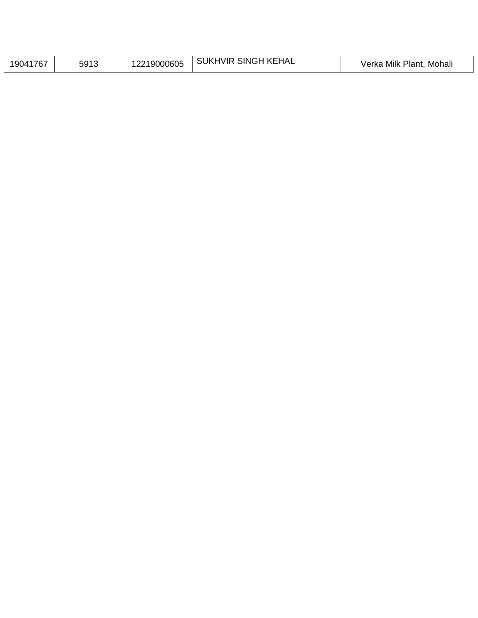| ' KEHAL<br><b>SINGH</b><br><b>HVIR</b><br><b>SUKI</b><br>219000605<br><b>1767</b><br>5913<br>9041 | Milk<br>Plant<br>Mohali<br>Verka |
|---------------------------------------------------------------------------------------------------|----------------------------------|
|---------------------------------------------------------------------------------------------------|----------------------------------|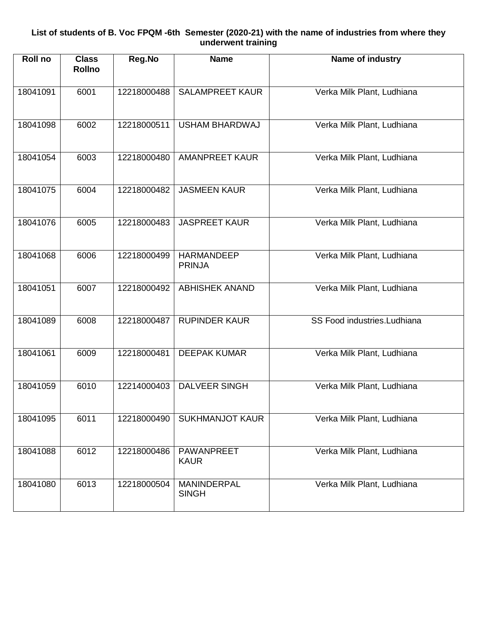#### **List of students of B. Voc FPQM -6th Semester (2020-21) with the name of industries from where they underwent training**

| Roll no  | <b>Class</b><br><b>Rollno</b> | Reg.No      | <b>Name</b>                        | Name of industry            |
|----------|-------------------------------|-------------|------------------------------------|-----------------------------|
| 18041091 | 6001                          | 12218000488 | <b>SALAMPREET KAUR</b>             | Verka Milk Plant, Ludhiana  |
| 18041098 | 6002                          | 12218000511 | <b>USHAM BHARDWAJ</b>              | Verka Milk Plant, Ludhiana  |
| 18041054 | 6003                          | 12218000480 | <b>AMANPREET KAUR</b>              | Verka Milk Plant, Ludhiana  |
| 18041075 | 6004                          | 12218000482 | <b>JASMEEN KAUR</b>                | Verka Milk Plant, Ludhiana  |
| 18041076 | 6005                          | 12218000483 | <b>JASPREET KAUR</b>               | Verka Milk Plant, Ludhiana  |
| 18041068 | 6006                          | 12218000499 | <b>HARMANDEEP</b><br><b>PRINJA</b> | Verka Milk Plant, Ludhiana  |
| 18041051 | 6007                          | 12218000492 | <b>ABHISHEK ANAND</b>              | Verka Milk Plant, Ludhiana  |
| 18041089 | 6008                          | 12218000487 | <b>RUPINDER KAUR</b>               | SS Food industries.Ludhiana |
| 18041061 | 6009                          | 12218000481 | <b>DEEPAK KUMAR</b>                | Verka Milk Plant, Ludhiana  |
| 18041059 | 6010                          | 12214000403 | <b>DALVEER SINGH</b>               | Verka Milk Plant, Ludhiana  |
| 18041095 | 6011                          | 12218000490 | <b>SUKHMANJOT KAUR</b>             | Verka Milk Plant, Ludhiana  |
| 18041088 | 6012                          | 12218000486 | PAWANPREET<br><b>KAUR</b>          | Verka Milk Plant, Ludhiana  |
| 18041080 | 6013                          | 12218000504 | MANINDERPAL<br><b>SINGH</b>        | Verka Milk Plant, Ludhiana  |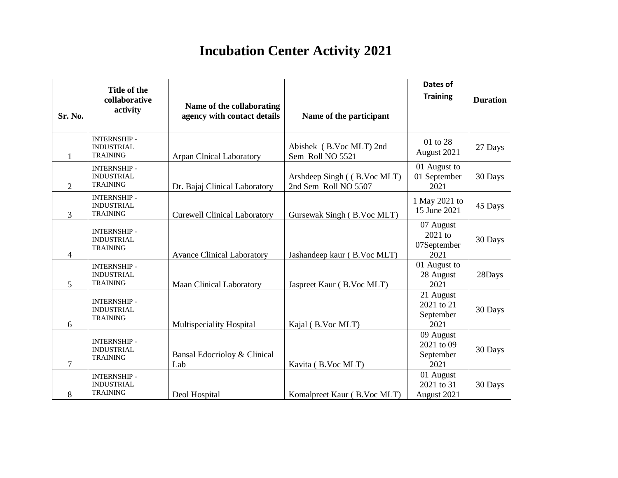# **Incubation Center Activity 2021**

|                | Title of the                                               |                                                          |                                                     | Dates of                                     |                 |
|----------------|------------------------------------------------------------|----------------------------------------------------------|-----------------------------------------------------|----------------------------------------------|-----------------|
|                | collaborative                                              |                                                          |                                                     | <b>Training</b>                              | <b>Duration</b> |
| Sr. No.        | activity                                                   | Name of the collaborating<br>agency with contact details | Name of the participant                             |                                              |                 |
|                |                                                            |                                                          |                                                     |                                              |                 |
| 1              | <b>INTERNSHIP-</b><br><b>INDUSTRIAL</b><br><b>TRAINING</b> | <b>Arpan Clnical Laboratory</b>                          | Abishek (B.Voc MLT) 2nd<br>Sem Roll NO 5521         | 01 to 28<br>August 2021                      | 27 Days         |
| $\overline{2}$ | <b>INTERNSHIP-</b><br><b>INDUSTRIAL</b><br><b>TRAINING</b> | Dr. Bajaj Clinical Laboratory                            | Arshdeep Singh ((B.Voc MLT)<br>2nd Sem Roll NO 5507 | 01 August to<br>01 September<br>2021         | 30 Days         |
| 3              | <b>INTERNSHIP-</b><br><b>INDUSTRIAL</b><br><b>TRAINING</b> | <b>Curewell Clinical Laboratory</b>                      | Gursewak Singh (B.Voc MLT)                          | 1 May 2021 to<br>15 June 2021                | 45 Days         |
| $\overline{4}$ | <b>INTERNSHIP-</b><br><b>INDUSTRIAL</b><br><b>TRAINING</b> | <b>Avance Clinical Laboratory</b>                        | Jashandeep kaur (B.Voc MLT)                         | 07 August<br>2021 to<br>07September<br>2021  | 30 Days         |
| 5              | <b>INTERNSHIP-</b><br><b>INDUSTRIAL</b><br><b>TRAINING</b> | <b>Maan Clinical Laboratory</b>                          | Jaspreet Kaur (B.Voc MLT)                           | 01 August to<br>28 August<br>2021            | 28Days          |
| 6              | <b>INTERNSHIP-</b><br><b>INDUSTRIAL</b><br><b>TRAINING</b> | Multispeciality Hospital                                 | Kajal (B.Voc MLT)                                   | 21 August<br>2021 to 21<br>September<br>2021 | 30 Days         |
| $\overline{7}$ | <b>INTERNSHIP-</b><br><b>INDUSTRIAL</b><br><b>TRAINING</b> | Bansal Edocrioloy & Clinical<br>Lab                      | Kavita (B.Voc MLT)                                  | 09 August<br>2021 to 09<br>September<br>2021 | 30 Days         |
| 8              | <b>INTERNSHIP-</b><br><b>INDUSTRIAL</b><br><b>TRAINING</b> | Deol Hospital                                            | Komalpreet Kaur (B.Voc MLT)                         | 01 August<br>2021 to 31<br>August 2021       | 30 Days         |